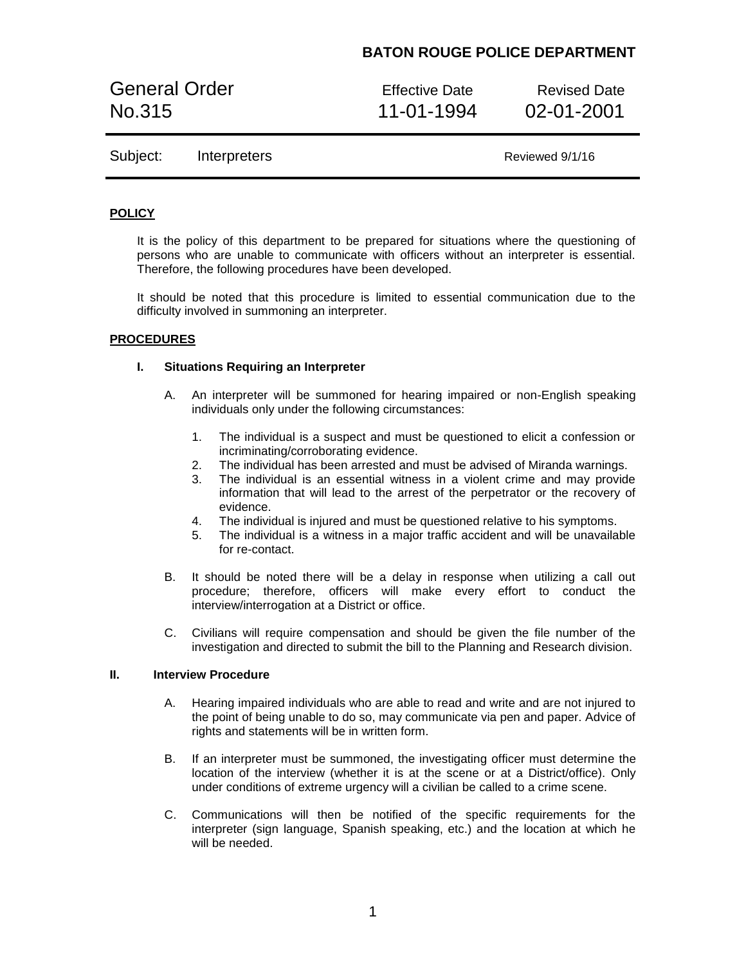# **BATON ROUGE POLICE DEPARTMENT**

General Order **Effective Date** Revised Date No.315 11-01-1994 02-01-2001

Subject: Interpreters Reviewed 9/1/16

## **POLICY**

It is the policy of this department to be prepared for situations where the questioning of persons who are unable to communicate with officers without an interpreter is essential. Therefore, the following procedures have been developed.

It should be noted that this procedure is limited to essential communication due to the difficulty involved in summoning an interpreter.

### **PROCEDURES**

### **I. Situations Requiring an Interpreter**

- A. An interpreter will be summoned for hearing impaired or non-English speaking individuals only under the following circumstances:
	- 1. The individual is a suspect and must be questioned to elicit a confession or incriminating/corroborating evidence.
	- 2. The individual has been arrested and must be advised of Miranda warnings.
	- 3. The individual is an essential witness in a violent crime and may provide information that will lead to the arrest of the perpetrator or the recovery of evidence.
	- 4. The individual is injured and must be questioned relative to his symptoms.
	- 5. The individual is a witness in a major traffic accident and will be unavailable for re-contact.
- B. It should be noted there will be a delay in response when utilizing a call out procedure; therefore, officers will make every effort to conduct the interview/interrogation at a District or office.
- C. Civilians will require compensation and should be given the file number of the investigation and directed to submit the bill to the Planning and Research division.

#### **II. Interview Procedure**

- A. Hearing impaired individuals who are able to read and write and are not injured to the point of being unable to do so, may communicate via pen and paper. Advice of rights and statements will be in written form.
- B. If an interpreter must be summoned, the investigating officer must determine the location of the interview (whether it is at the scene or at a District/office). Only under conditions of extreme urgency will a civilian be called to a crime scene.
- C. Communications will then be notified of the specific requirements for the interpreter (sign language, Spanish speaking, etc.) and the location at which he will be needed.